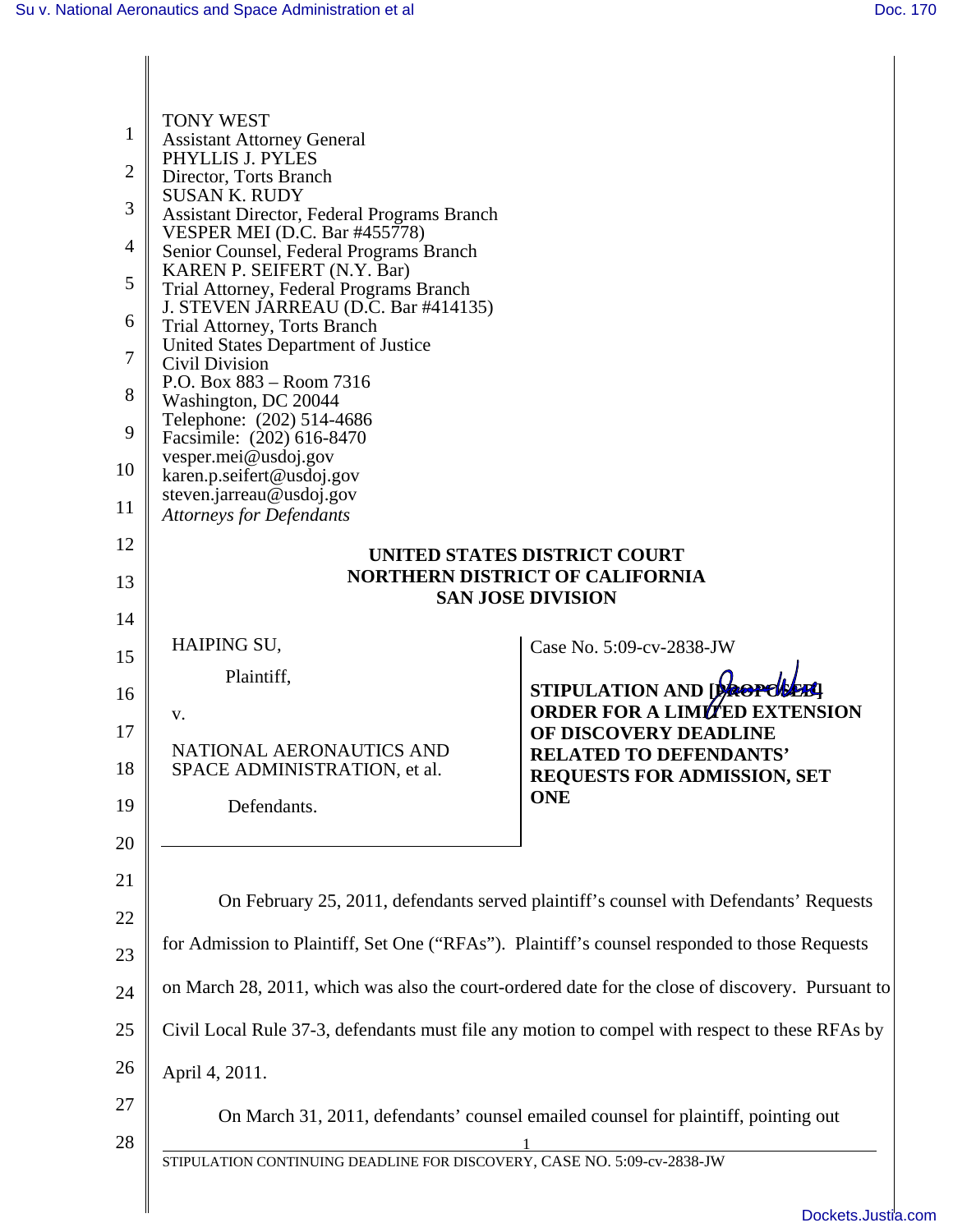| 1<br>2<br>3<br>4<br>5<br>6<br>7<br>8<br>9 | <b>TONY WEST</b><br><b>Assistant Attorney General</b><br>PHYLLIS J. PYLES<br>Director, Torts Branch<br><b>SUSAN K. RUDY</b><br>Assistant Director, Federal Programs Branch<br><b>VESPER MEI (D.C. Bar #455778)</b><br>Senior Counsel, Federal Programs Branch<br>KAREN P. SEIFERT (N.Y. Bar)<br>Trial Attorney, Federal Programs Branch<br>J. STEVEN JARREAU (D.C. Bar #414135)<br>Trial Attorney, Torts Branch<br>United States Department of Justice<br>Civil Division<br>P.O. Box 883 – Room 7316<br>Washington, DC 20044<br>Telephone: (202) 514-4686<br>Facsimile: (202) 616-8470<br>vesper.mei@usdoj.gov |                                                                     |  |
|-------------------------------------------|----------------------------------------------------------------------------------------------------------------------------------------------------------------------------------------------------------------------------------------------------------------------------------------------------------------------------------------------------------------------------------------------------------------------------------------------------------------------------------------------------------------------------------------------------------------------------------------------------------------|---------------------------------------------------------------------|--|
| 10<br>11                                  | karen.p.seifert@usdoj.gov<br>steven.jarreau@usdoj.gov                                                                                                                                                                                                                                                                                                                                                                                                                                                                                                                                                          |                                                                     |  |
| 12                                        | <b>Attorneys for Defendants</b><br>UNITED STATES DISTRICT COURT                                                                                                                                                                                                                                                                                                                                                                                                                                                                                                                                                |                                                                     |  |
| 13                                        | <b>NORTHERN DISTRICT OF CALIFORNIA</b><br><b>SAN JOSE DIVISION</b>                                                                                                                                                                                                                                                                                                                                                                                                                                                                                                                                             |                                                                     |  |
| 14                                        |                                                                                                                                                                                                                                                                                                                                                                                                                                                                                                                                                                                                                |                                                                     |  |
| 15                                        | HAIPING SU,                                                                                                                                                                                                                                                                                                                                                                                                                                                                                                                                                                                                    | Case No. 5:09-cv-2838-JW                                            |  |
| 16                                        | Plaintiff,                                                                                                                                                                                                                                                                                                                                                                                                                                                                                                                                                                                                     | STIPULATION AND Decree                                              |  |
| 17                                        | v.                                                                                                                                                                                                                                                                                                                                                                                                                                                                                                                                                                                                             | <b>ORDER FOR A LIMITED EXTENSION</b><br>OF DISCOVERY DEADLINE       |  |
| 18                                        | NATIONAL AERONAUTICS AND<br>SPACE ADMINISTRATION, et al.                                                                                                                                                                                                                                                                                                                                                                                                                                                                                                                                                       | <b>RELATED TO DEFENDANTS'</b><br><b>REQUESTS FOR ADMISSION, SET</b> |  |
| 19                                        | Defendants.                                                                                                                                                                                                                                                                                                                                                                                                                                                                                                                                                                                                    | <b>ONE</b>                                                          |  |
| 20                                        |                                                                                                                                                                                                                                                                                                                                                                                                                                                                                                                                                                                                                |                                                                     |  |
| 21                                        |                                                                                                                                                                                                                                                                                                                                                                                                                                                                                                                                                                                                                |                                                                     |  |
| 22                                        | On February 25, 2011, defendants served plaintiff's counsel with Defendants' Requests                                                                                                                                                                                                                                                                                                                                                                                                                                                                                                                          |                                                                     |  |
| 23                                        | for Admission to Plaintiff, Set One ("RFAs"). Plaintiff's counsel responded to those Requests                                                                                                                                                                                                                                                                                                                                                                                                                                                                                                                  |                                                                     |  |
| 24                                        | on March 28, 2011, which was also the court-ordered date for the close of discovery. Pursuant to                                                                                                                                                                                                                                                                                                                                                                                                                                                                                                               |                                                                     |  |
| 25                                        | Civil Local Rule 37-3, defendants must file any motion to compel with respect to these RFAs by                                                                                                                                                                                                                                                                                                                                                                                                                                                                                                                 |                                                                     |  |
| 26                                        | April 4, 2011.                                                                                                                                                                                                                                                                                                                                                                                                                                                                                                                                                                                                 |                                                                     |  |
| 27                                        | On March 31, 2011, defendants' counsel emailed counsel for plaintiff, pointing out                                                                                                                                                                                                                                                                                                                                                                                                                                                                                                                             |                                                                     |  |
| 28                                        | STIPULATION CONTINUING DEADLINE FOR DISCOVERY, CASE NO. 5:09-cv-2838-JW                                                                                                                                                                                                                                                                                                                                                                                                                                                                                                                                        |                                                                     |  |
|                                           |                                                                                                                                                                                                                                                                                                                                                                                                                                                                                                                                                                                                                |                                                                     |  |
|                                           |                                                                                                                                                                                                                                                                                                                                                                                                                                                                                                                                                                                                                | Dockate Justia                                                      |  |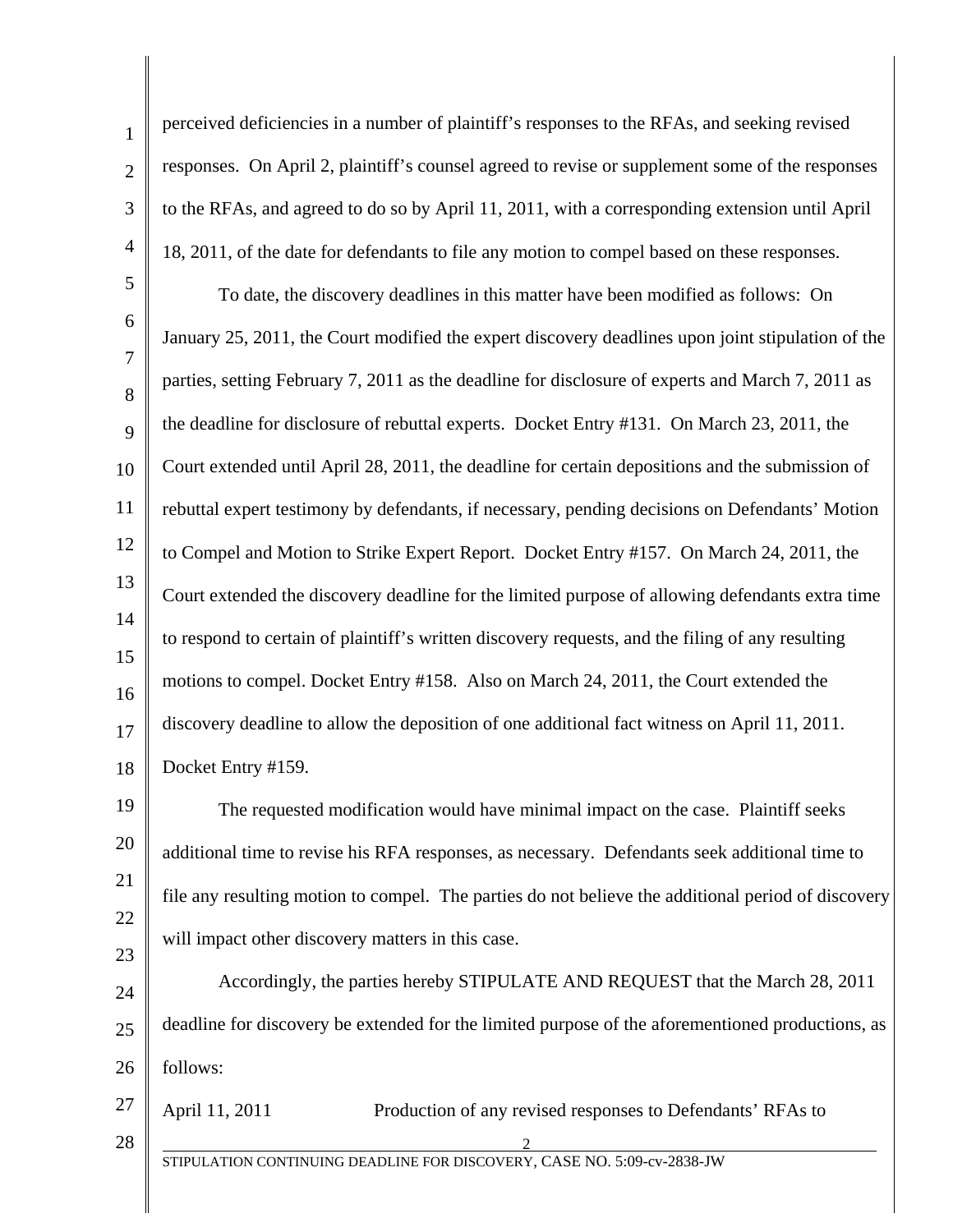1 2 3 4 5 6 7 8 9 10 11 12 13 14 15 16 17 18 19 20 21 22 23 24 25 26 27 28 STIPULATION CONTINUING DEADLINE FOR DISCOVERY, CASE NO. 5:09-cv-2838-JW 2 perceived deficiencies in a number of plaintiff's responses to the RFAs, and seeking revised responses. On April 2, plaintiff's counsel agreed to revise or supplement some of the responses to the RFAs, and agreed to do so by April 11, 2011, with a corresponding extension until April 18, 2011, of the date for defendants to file any motion to compel based on these responses. To date, the discovery deadlines in this matter have been modified as follows: On January 25, 2011, the Court modified the expert discovery deadlines upon joint stipulation of the parties, setting February 7, 2011 as the deadline for disclosure of experts and March 7, 2011 as the deadline for disclosure of rebuttal experts. Docket Entry #131. On March 23, 2011, the Court extended until April 28, 2011, the deadline for certain depositions and the submission of rebuttal expert testimony by defendants, if necessary, pending decisions on Defendants' Motion to Compel and Motion to Strike Expert Report. Docket Entry #157. On March 24, 2011, the Court extended the discovery deadline for the limited purpose of allowing defendants extra time to respond to certain of plaintiff's written discovery requests, and the filing of any resulting motions to compel. Docket Entry #158. Also on March 24, 2011, the Court extended the discovery deadline to allow the deposition of one additional fact witness on April 11, 2011. Docket Entry #159. The requested modification would have minimal impact on the case. Plaintiff seeks additional time to revise his RFA responses, as necessary. Defendants seek additional time to file any resulting motion to compel. The parties do not believe the additional period of discovery will impact other discovery matters in this case. Accordingly, the parties hereby STIPULATE AND REQUEST that the March 28, 2011 deadline for discovery be extended for the limited purpose of the aforementioned productions, as follows: April 11, 2011 Production of any revised responses to Defendants' RFAs to